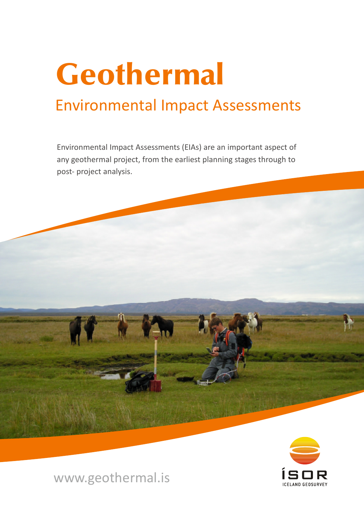# Environmental Impact Assessments Geothermal

Environmental Impact Assessments (EIAs) are an important aspect of any geothermal project, from the earliest planning stages through to post- project analysis.





# www.geothermal.is